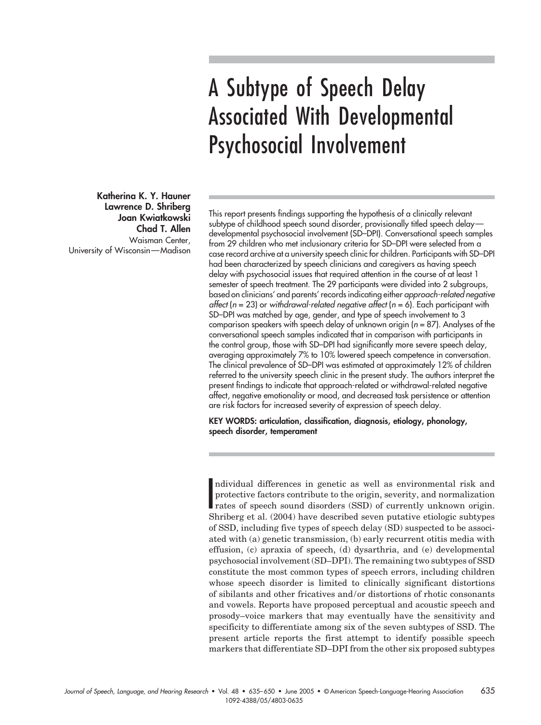# A Subtype of Speech Delay Associated With Developmental Psychosocial Involvement

This report presents findings supporting the hypothesis of a clinically relevant subtype of childhood speech sound disorder, provisionally titled speech delay developmental psychosocial involvement (SD–DPI). Conversational speech samples from 29 children who met inclusionary criteria for SD–DPI were selected from a case record archive at a university speech clinic for children. Participants with SD–DPI had been characterized by speech clinicians and caregivers as having speech delay with psychosocial issues that required attention in the course of at least 1 semester of speech treatment. The 29 participants were divided into 2 subgroups, based on clinicians' and parents' records indicating either approach-related negative affect ( $n = 23$ ) or withdrawal-related negative affect ( $n = 6$ ). Each participant with SD–DPI was matched by age, gender, and type of speech involvement to 3 comparison speakers with speech delay of unknown origin ( $n = 87$ ). Analyses of the conversational speech samples indicated that in comparison with participants in the control group, those with SD–DPI had significantly more severe speech delay, averaging approximately 7% to 10% lowered speech competence in conversation. The clinical prevalence of SD–DPI was estimated at approximately 12% of children referred to the university speech clinic in the present study. The authors interpret the present findings to indicate that approach-related or withdrawal-related negative affect, negative emotionality or mood, and decreased task persistence or attention are risk factors for increased severity of expression of speech delay.

KEY WORDS: articulation, classification, diagnosis, etiology, phonology, speech disorder, temperament

 $\overline{R}$ ndividual differences in genetic as well as environmental risk and protective factors contribute to the origin, severity, and normalization rates of speech sound disorders (SSD) of currently unknown origin. Shriberg et al. (2004) have described seven putative etiologic subtypes of SSD, including five types of speech delay (SD) suspected to be associated with (a) genetic transmission, (b) early recurrent otitis media with effusion, (c) apraxia of speech, (d) dysarthria, and (e) developmental psychosocial involvement (SD–DPI). The remaining two subtypes of SSD constitute the most common types of speech errors, including children whose speech disorder is limited to clinically significant distortions of sibilants and other fricatives and/ or distortions of rhotic consonants and vowels. Reports have proposed perceptual and acoustic speech and prosody–voice markers that may eventually have the sensitivity and specificity to differentiate among six of the seven subtypes of SSD. The present article reports the first attempt to identify possible speech markers that differentiate SD–DPI from the other six proposed subtypes

Katherina K. Y. Hauner Lawrence D. Shriberg Joan Kwiatkowski Chad T. Allen Waisman Center, University of Wisconsin—Madison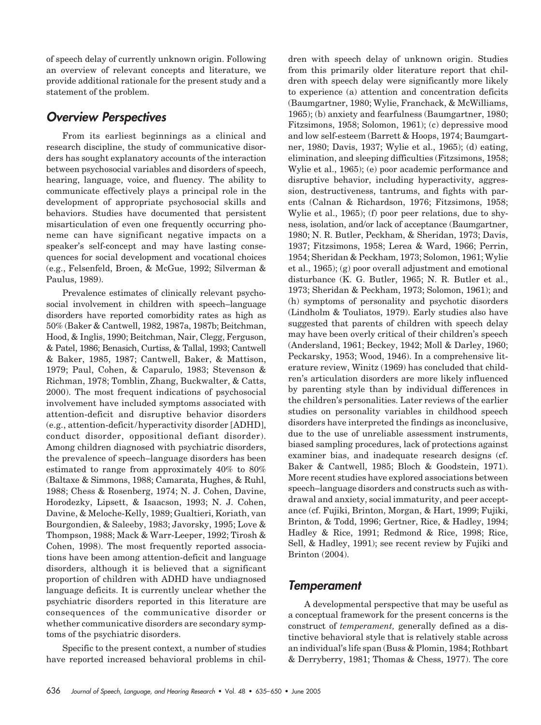of speech delay of currently unknown origin. Following an overview of relevant concepts and literature, we provide additional rationale for the present study and a statement of the problem.

## Overview Perspectives

From its earliest beginnings as a clinical and research discipline, the study of communicative disorders has sought explanatory accounts of the interaction between psychosocial variables and disorders of speech, hearing, language, voice, and fluency. The ability to communicate effectively plays a principal role in the development of appropriate psychosocial skills and behaviors. Studies have documented that persistent misarticulation of even one frequently occurring phoneme can have significant negative impacts on a speaker's self-concept and may have lasting consequences for social development and vocational choices (e.g., Felsenfeld, Broen, & McGue, 1992; Silverman & Paulus, 1989).

Prevalence estimates of clinically relevant psychosocial involvement in children with speech–language disorders have reported comorbidity rates as high as 50% (Baker & Cantwell, 1982, 1987a, 1987b; Beitchman, Hood, & Inglis, 1990; Beitchman, Nair, Clegg, Ferguson, & Patel, 1986; Benasich, Curtiss, & Tallal, 1993; Cantwell & Baker, 1985, 1987; Cantwell, Baker, & Mattison, 1979; Paul, Cohen, & Caparulo, 1983; Stevenson & Richman, 1978; Tomblin, Zhang, Buckwalter, & Catts, 2000). The most frequent indications of psychosocial involvement have included symptoms associated with attention-deficit and disruptive behavior disorders (e.g., attention-deficit/hyperactivity disorder [ADHD], conduct disorder, oppositional defiant disorder). Among children diagnosed with psychiatric disorders, the prevalence of speech–language disorders has been estimated to range from approximately 40% to 80% (Baltaxe & Simmons, 1988; Camarata, Hughes, & Ruhl, 1988; Chess & Rosenberg, 1974; N. J. Cohen, Davine, Horodezky, Lipsett, & Isaacson, 1993; N. J. Cohen, Davine, & Meloche-Kelly, 1989; Gualtieri, Koriath, van Bourgondien, & Saleeby, 1983; Javorsky, 1995; Love & Thompson, 1988; Mack & Warr-Leeper, 1992; Tirosh & Cohen, 1998). The most frequently reported associations have been among attention-deficit and language disorders, although it is believed that a significant proportion of children with ADHD have undiagnosed language deficits. It is currently unclear whether the psychiatric disorders reported in this literature are consequences of the communicative disorder or whether communicative disorders are secondary symptoms of the psychiatric disorders.

Specific to the present context, a number of studies have reported increased behavioral problems in chil-

dren with speech delay of unknown origin. Studies from this primarily older literature report that children with speech delay were significantly more likely to experience (a) attention and concentration deficits (Baumgartner, 1980; Wylie, Franchack, & McWilliams, 1965); (b) anxiety and fearfulness (Baumgartner, 1980; Fitzsimons, 1958; Solomon, 1961); (c) depressive mood and low self-esteem (Barrett & Hoops, 1974; Baumgartner, 1980; Davis, 1937; Wylie et al., 1965); (d) eating, elimination, and sleeping difficulties (Fitzsimons, 1958; Wylie et al., 1965); (e) poor academic performance and disruptive behavior, including hyperactivity, aggression, destructiveness, tantrums, and fights with parents (Calnan & Richardson, 1976; Fitzsimons, 1958; Wylie et al., 1965); (f) poor peer relations, due to shyness, isolation, and/or lack of acceptance (Baumgartner, 1980; N. R. Butler, Peckham, & Sheridan, 1973; Davis, 1937; Fitzsimons, 1958; Lerea & Ward, 1966; Perrin, 1954; Sheridan & Peckham, 1973; Solomon, 1961; Wylie et al., 1965); (g) poor overall adjustment and emotional disturbance (K. G. Butler, 1965; N. R. Butler et al., 1973; Sheridan & Peckham, 1973; Solomon, 1961); and (h) symptoms of personality and psychotic disorders (Lindholm & Touliatos, 1979). Early studies also have suggested that parents of children with speech delay may have been overly critical of their children's speech (Andersland, 1961; Beckey, 1942; Moll & Darley, 1960; Peckarsky, 1953; Wood, 1946). In a comprehensive literature review, Winitz (1969) has concluded that children's articulation disorders are more likely influenced by parenting style than by individual differences in the children's personalities. Later reviews of the earlier studies on personality variables in childhood speech disorders have interpreted the findings as inconclusive, due to the use of unreliable assessment instruments, biased sampling procedures, lack of protections against examiner bias, and inadequate research designs (cf. Baker & Cantwell, 1985; Bloch & Goodstein, 1971). More recent studies have explored associations between speech–language disorders and constructs such as withdrawal and anxiety, social immaturity, and peer acceptance (cf. Fujiki, Brinton, Morgan, & Hart, 1999; Fujiki, Brinton, & Todd, 1996; Gertner, Rice, & Hadley, 1994; Hadley & Rice, 1991; Redmond & Rice, 1998; Rice, Sell, & Hadley, 1991); see recent review by Fujiki and Brinton (2004).

### **Temperament**

A developmental perspective that may be useful as a conceptual framework for the present concerns is the construct of temperament, generally defined as a distinctive behavioral style that is relatively stable across an individual's life span (Buss & Plomin, 1984; Rothbart & Derryberry, 1981; Thomas & Chess, 1977). The core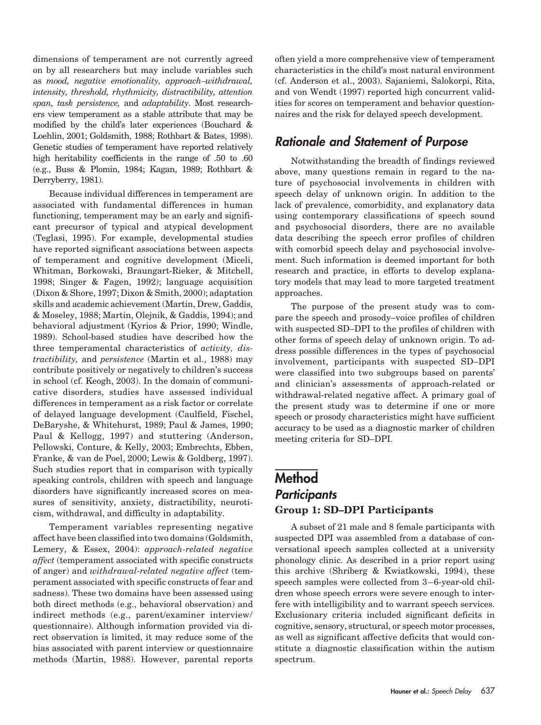dimensions of temperament are not currently agreed on by all researchers but may include variables such as mood, negative emotionality, approach–withdrawal, intensity, threshold, rhythmicity, distractibility, attention span, task persistence, and adaptability. Most researchers view temperament as a stable attribute that may be modified by the child's later experiences (Bouchard & Loehlin, 2001; Goldsmith, 1988; Rothbart & Bates, 1998). Genetic studies of temperament have reported relatively high heritability coefficients in the range of .50 to .60 (e.g., Buss & Plomin, 1984; Kagan, 1989; Rothbart & Derryberry, 1981).

Because individual differences in temperament are associated with fundamental differences in human functioning, temperament may be an early and significant precursor of typical and atypical development (Teglasi, 1995). For example, developmental studies have reported significant associations between aspects of temperament and cognitive development (Miceli, Whitman, Borkowski, Braungart-Rieker, & Mitchell, 1998; Singer & Fagen, 1992); language acquisition (Dixon & Shore, 1997; Dixon & Smith, 2000); adaptation skills and academic achievement (Martin, Drew, Gaddis, & Moseley, 1988; Martin, Olejnik, & Gaddis, 1994); and behavioral adjustment (Kyrios & Prior, 1990; Windle, 1989). School-based studies have described how the three temperamental characteristics of activity, distractibility, and persistence (Martin et al., 1988) may contribute positively or negatively to children's success in school (cf. Keogh, 2003). In the domain of communicative disorders, studies have assessed individual differences in temperament as a risk factor or correlate of delayed language development (Caulfield, Fischel, DeBaryshe, & Whitehurst, 1989; Paul & James, 1990; Paul & Kellogg, 1997) and stuttering (Anderson, Pellowski, Conture, & Kelly, 2003; Embrechts, Ebben, Franke, & van de Poel, 2000; Lewis & Goldberg, 1997). Such studies report that in comparison with typically speaking controls, children with speech and language disorders have significantly increased scores on measures of sensitivity, anxiety, distractibility, neuroticism, withdrawal, and difficulty in adaptability.

Temperament variables representing negative affect have been classified into two domains (Goldsmith, Lemery, & Essex, 2004): approach-related negative affect (temperament associated with specific constructs of anger) and withdrawal-related negative affect (temperament associated with specific constructs of fear and sadness). These two domains have been assessed using both direct methods (e.g., behavioral observation) and indirect methods (e.g., parent/examiner interview/ questionnaire). Although information provided via direct observation is limited, it may reduce some of the bias associated with parent interview or questionnaire methods (Martin, 1988). However, parental reports

often yield a more comprehensive view of temperament characteristics in the child's most natural environment (cf. Anderson et al., 2003). Sajaniemi, Salokorpi, Rita, and von Wendt (1997) reported high concurrent validities for scores on temperament and behavior questionnaires and the risk for delayed speech development.

## Rationale and Statement of Purpose

Notwithstanding the breadth of findings reviewed above, many questions remain in regard to the nature of psychosocial involvements in children with speech delay of unknown origin. In addition to the lack of prevalence, comorbidity, and explanatory data using contemporary classifications of speech sound and psychosocial disorders, there are no available data describing the speech error profiles of children with comorbid speech delay and psychosocial involvement. Such information is deemed important for both research and practice, in efforts to develop explanatory models that may lead to more targeted treatment approaches.

The purpose of the present study was to compare the speech and prosody–voice profiles of children with suspected SD–DPI to the profiles of children with other forms of speech delay of unknown origin. To address possible differences in the types of psychosocial involvement, participants with suspected SD–DPI were classified into two subgroups based on parents' and clinician's assessments of approach-related or withdrawal-related negative affect. A primary goal of the present study was to determine if one or more speech or prosody characteristics might have sufficient accuracy to be used as a diagnostic marker of children meeting criteria for SD–DPI.

# **Method Participants** Group 1: SD–DPI Participants

A subset of 21 male and 8 female participants with suspected DPI was assembled from a database of conversational speech samples collected at a university phonology clinic. As described in a prior report using this archive (Shriberg & Kwiatkowski, 1994), these speech samples were collected from 3–6-year-old children whose speech errors were severe enough to interfere with intelligibility and to warrant speech services. Exclusionary criteria included significant deficits in cognitive, sensory, structural, or speech motor processes, as well as significant affective deficits that would constitute a diagnostic classification within the autism spectrum.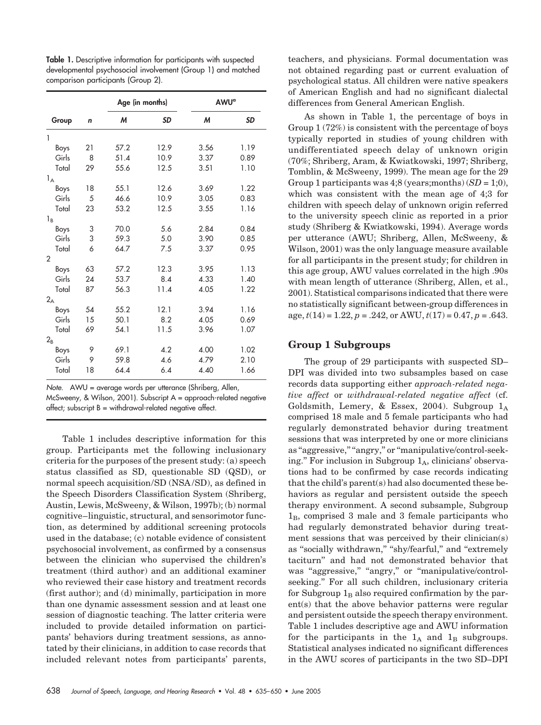| Table 1. Descriptive information for participants with suspected |
|------------------------------------------------------------------|
| developmental psychosocial involvement (Group 1) and matched     |
| comparison participants (Group 2).                               |

|                  |    | Age (in months) |           | <b>AWU<sup>a</sup></b> |           |
|------------------|----|-----------------|-----------|------------------------|-----------|
| Group            | n  | M               | <b>SD</b> | M                      | <b>SD</b> |
| 1                |    |                 |           |                        |           |
| Boys             | 21 | 57.2            | 12.9      | 3.56                   | 1.19      |
| Girls            | 8  | 51.4            | 10.9      | 3.37                   | 0.89      |
| Total            | 29 | 55.6            | 12.5      | 3.51                   | 1.10      |
| $1_{A}$          |    |                 |           |                        |           |
| Boys             | 18 | 55.1            | 12.6      | 3.69                   | 1.22      |
| Girls            | 5  | 46.6            | 10.9      | 3.05                   | 0.83      |
| Total            | 23 | 53.2            | 12.5      | 3.55                   | 1.16      |
| $1_{\mathsf{B}}$ |    |                 |           |                        |           |
| Boys             | 3  | 70.0            | 5.6       | 2.84                   | 0.84      |
| Girls            | 3  | 59.3            | 5.0       | 3.90                   | 0.85      |
| Total            | 6  | 64.7            | 7.5       | 3.37                   | 0.95      |
| $\overline{2}$   |    |                 |           |                        |           |
| Boys             | 63 | 57.2            | 12.3      | 3.95                   | 1.13      |
| Girls            | 24 | 53.7            | 8.4       | 4.33                   | 1.40      |
| Total            | 87 | 56.3            | 11.4      | 4.05                   | 1.22      |
| $2_{\mathsf{A}}$ |    |                 |           |                        |           |
| Boys             | 54 | 55.2            | 12.1      | 3.94                   | 1.16      |
| Girls            | 15 | 50.1            | 8.2       | 4.05                   | 0.69      |
| Total            | 69 | 54.1            | 11.5      | 3.96                   | 1.07      |
| $2_{\mathsf{B}}$ |    |                 |           |                        |           |
| Boys             | 9  | 69.1            | 4.2       | 4.00                   | 1.02      |
| Girls            | 9  | 59.8            | 4.6       | 4.79                   | 2.10      |
| Total            | 18 | 64.4            | 6.4       | 4.40                   | 1.66      |

Note. AWU = average words per utterance (Shriberg, Allen,

McSweeny, & Wilson, 2001). Subscript  $A =$  approach-related negative  $a$ ffect; subscript  $B =$  withdrawal-related negative affect.

Table 1 includes descriptive information for this group. Participants met the following inclusionary criteria for the purposes of the present study: (a) speech status classified as SD, questionable SD (QSD), or normal speech acquisition/SD (NSA/SD), as defined in the Speech Disorders Classification System (Shriberg, Austin, Lewis, McSweeny, & Wilson, 1997b); (b) normal cognitive–linguistic, structural, and sensorimotor function, as determined by additional screening protocols used in the database; (c) notable evidence of consistent psychosocial involvement, as confirmed by a consensus between the clinician who supervised the children's treatment (third author) and an additional examiner who reviewed their case history and treatment records (first author); and (d) minimally, participation in more than one dynamic assessment session and at least one session of diagnostic teaching. The latter criteria were included to provide detailed information on participants' behaviors during treatment sessions, as annotated by their clinicians, in addition to case records that included relevant notes from participants' parents,

As shown in Table 1, the percentage of boys in Group 1 (72%) is consistent with the percentage of boys typically reported in studies of young children with undifferentiated speech delay of unknown origin (70%; Shriberg, Aram, & Kwiatkowski, 1997; Shriberg, Tomblin, & McSweeny, 1999). The mean age for the 29 Group 1 participants was  $4;8$  (years; months)  $(SD = 1;0)$ , which was consistent with the mean age of 4;3 for children with speech delay of unknown origin referred to the university speech clinic as reported in a prior study (Shriberg & Kwiatkowski, 1994). Average words per utterance (AWU; Shriberg, Allen, McSweeny, & Wilson, 2001) was the only language measure available for all participants in the present study; for children in this age group, AWU values correlated in the high .90s with mean length of utterance (Shriberg, Allen, et al., 2001). Statistical comparisons indicated that there were no statistically significant between-group differences in age,  $t(14) = 1.22$ ,  $p = .242$ , or AWU,  $t(17) = 0.47$ ,  $p = .643$ .

#### Group 1 Subgroups

The group of 29 participants with suspected SD– DPI was divided into two subsamples based on case records data supporting either approach-related negative affect or withdrawal-related negative affect (cf. Goldsmith, Lemery, & Essex, 2004). Subgroup  $1_A$ comprised 18 male and 5 female participants who had regularly demonstrated behavior during treatment sessions that was interpreted by one or more clinicians as "aggressive," "angry," or "manipulative/control-seeking." For inclusion in Subgroup  $1_A$ , clinicians' observations had to be confirmed by case records indicating that the child's parent(s) had also documented these behaviors as regular and persistent outside the speech therapy environment. A second subsample, Subgroup  $1_B$ , comprised 3 male and 3 female participants who had regularly demonstrated behavior during treatment sessions that was perceived by their clinician(s) as "socially withdrawn," "shy/fearful," and "extremely taciturn'' and had not demonstrated behavior that was "aggressive," "angry," or "manipulative/controlseeking.'' For all such children, inclusionary criteria for Subgroup  $1_B$  also required confirmation by the parent(s) that the above behavior patterns were regular and persistent outside the speech therapy environment. Table 1 includes descriptive age and AWU information for the participants in the  $1_A$  and  $1_B$  subgroups. Statistical analyses indicated no significant differences in the AWU scores of participants in the two SD–DPI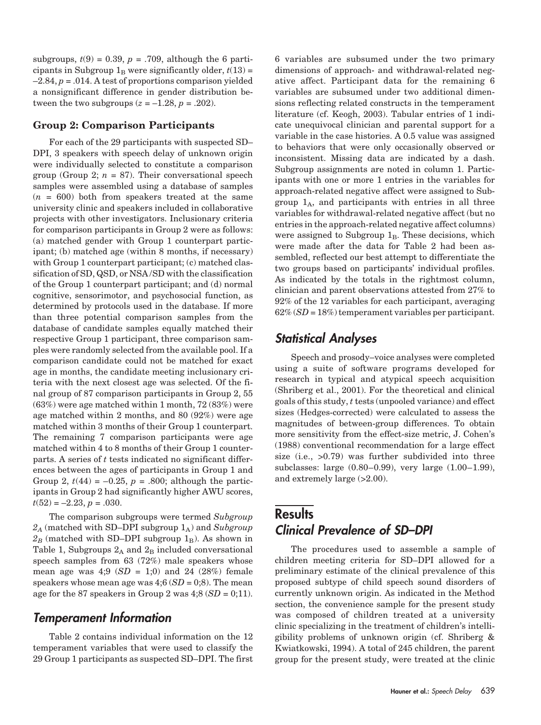subgroups,  $t(9) = 0.39$ ,  $p = .709$ , although the 6 participants in Subgroup  $1_B$  were significantly older,  $t(13)$  =  $-2.84$ ,  $p = .014$ . A test of proportions comparison yielded a nonsignificant difference in gender distribution between the two subgroups  $(z = -1.28, p = .202)$ .

#### Group 2: Comparison Participants

For each of the 29 participants with suspected SD– DPI, 3 speakers with speech delay of unknown origin were individually selected to constitute a comparison group (Group 2;  $n = 87$ ). Their conversational speech samples were assembled using a database of samples  $(n = 600)$  both from speakers treated at the same university clinic and speakers included in collaborative projects with other investigators. Inclusionary criteria for comparison participants in Group 2 were as follows: (a) matched gender with Group 1 counterpart participant; (b) matched age (within 8 months, if necessary) with Group 1 counterpart participant; (c) matched classification of SD, QSD, or NSA /SD with the classification of the Group 1 counterpart participant; and (d) normal cognitive, sensorimotor, and psychosocial function, as determined by protocols used in the database. If more than three potential comparison samples from the database of candidate samples equally matched their respective Group 1 participant, three comparison samples were randomly selected from the available pool. If a comparison candidate could not be matched for exact age in months, the candidate meeting inclusionary criteria with the next closest age was selected. Of the final group of 87 comparison participants in Group 2, 55 (63%) were age matched within 1 month, 72 (83%) were age matched within 2 months, and 80 (92%) were age matched within 3 months of their Group 1 counterpart. The remaining 7 comparison participants were age matched within 4 to 8 months of their Group 1 counterparts. A series of  $t$  tests indicated no significant differences between the ages of participants in Group 1 and Group 2,  $t(44) = -0.25$ ,  $p = .800$ ; although the participants in Group 2 had significantly higher AWU scores,  $t(52) = -2.23, p = .030.$ 

The comparison subgroups were termed Subgroup  $2_A$  (matched with SD–DPI subgroup  $1_A$ ) and Subgroup  $2_B$  (matched with SD–DPI subgroup  $1_B$ ). As shown in Table 1, Subgroups  $2_A$  and  $2_B$  included conversational speech samples from 63 (72%) male speakers whose mean age was 4;9  $(SD = 1;0)$  and 24  $(28%)$  female speakers whose mean age was  $4:6(SD = 0:8)$ . The mean age for the 87 speakers in Group 2 was  $4;8(SD = 0;11)$ .

### Temperament Information

Table 2 contains individual information on the 12 temperament variables that were used to classify the 29 Group 1 participants as suspected SD–DPI. The first

6 variables are subsumed under the two primary dimensions of approach- and withdrawal-related negative affect. Participant data for the remaining 6 variables are subsumed under two additional dimensions reflecting related constructs in the temperament literature (cf. Keogh, 2003). Tabular entries of 1 indicate unequivocal clinician and parental support for a variable in the case histories. A 0.5 value was assigned to behaviors that were only occasionally observed or inconsistent. Missing data are indicated by a dash. Subgroup assignments are noted in column 1. Participants with one or more 1 entries in the variables for approach-related negative affect were assigned to Subgroup  $1_A$ , and participants with entries in all three variables for withdrawal-related negative affect (but no entries in the approach-related negative affect columns) were assigned to Subgroup  $1_B$ . These decisions, which were made after the data for Table 2 had been assembled, reflected our best attempt to differentiate the two groups based on participants' individual profiles. As indicated by the totals in the rightmost column, clinician and parent observations attested from 27% to 92% of the 12 variables for each participant, averaging  $62\%$  (SD = 18%) temperament variables per participant.

### Statistical Analyses

Speech and prosody–voice analyses were completed using a suite of software programs developed for research in typical and atypical speech acquisition (Shriberg et al., 2001). For the theoretical and clinical goals of this study, t tests (unpooled variance) and effect sizes (Hedges-corrected) were calculated to assess the magnitudes of between-group differences. To obtain more sensitivity from the effect-size metric, J. Cohen's (1988) conventional recommendation for a large effect size (i.e.,  $>0.79$ ) was further subdivided into three subclasses: large (0.80–0.99), very large (1.00–1.99), and extremely large (>2.00).

# **Results** Clinical Prevalence of SD–DPI

The procedures used to assemble a sample of children meeting criteria for SD–DPI allowed for a preliminary estimate of the clinical prevalence of this proposed subtype of child speech sound disorders of currently unknown origin. As indicated in the Method section, the convenience sample for the present study was composed of children treated at a university clinic specializing in the treatment of children's intelligibility problems of unknown origin (cf. Shriberg & Kwiatkowski, 1994). A total of 245 children, the parent group for the present study, were treated at the clinic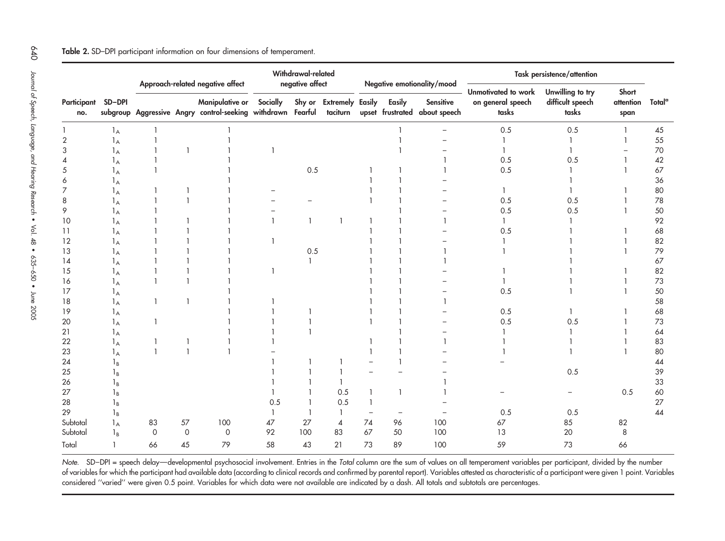|                    |                  | Approach-related negative affect |             |                                                                                | Withdrawal-related<br>negative affect |     | Negative emotionality/mood |                          | Task persistence/attention |                                                     |                                                   |                                               |                            |                    |
|--------------------|------------------|----------------------------------|-------------|--------------------------------------------------------------------------------|---------------------------------------|-----|----------------------------|--------------------------|----------------------------|-----------------------------------------------------|---------------------------------------------------|-----------------------------------------------|----------------------------|--------------------|
| Participant<br>no. | SD-DPI           |                                  |             | Manipulative or<br>subgroup Aggressive Angry control-seeking withdrawn Fearful | Socially                              |     | Shy or Extremely Easily    |                          | Easily                     | Sensitive<br>taciturn upset frustrated about speech | Unmotivated to work<br>on general speech<br>tasks | Unwilling to try<br>difficult speech<br>tasks | Short<br>attention<br>span | Total <sup>a</sup> |
|                    | 1 <sub>A</sub>   |                                  |             |                                                                                |                                       |     |                            |                          |                            |                                                     | 0.5                                               | 0.5                                           |                            | 45                 |
| $\overline{2}$     | 1 <sub>A</sub>   |                                  |             |                                                                                |                                       |     |                            |                          |                            |                                                     |                                                   |                                               |                            | 55                 |
| 3                  | Īд               |                                  |             |                                                                                |                                       |     |                            |                          |                            |                                                     |                                                   |                                               |                            | 70                 |
|                    | Iд               |                                  |             |                                                                                |                                       |     |                            |                          |                            |                                                     | 0.5                                               | 0.5                                           |                            | 42                 |
| 5                  | l A              |                                  |             |                                                                                |                                       | 0.5 |                            |                          |                            |                                                     | 0.5                                               |                                               | 1                          | 67                 |
| 6                  | 1a               |                                  |             |                                                                                |                                       |     |                            |                          |                            |                                                     |                                                   |                                               |                            | 36                 |
| 7                  | lд               |                                  |             |                                                                                |                                       |     |                            |                          |                            |                                                     | -1                                                |                                               |                            | 80                 |
| 8                  | lд               |                                  |             |                                                                                |                                       |     |                            |                          |                            |                                                     | 0.5                                               | 0.5                                           |                            | 78                 |
| 9                  | Iд               |                                  |             |                                                                                |                                       |     |                            |                          |                            |                                                     | 0.5                                               | 0.5                                           |                            | 50                 |
| 10                 | Iд               |                                  |             |                                                                                |                                       |     |                            |                          |                            |                                                     |                                                   |                                               |                            | 92                 |
| 11                 | l <sub>A</sub>   |                                  |             |                                                                                |                                       |     |                            |                          |                            |                                                     | 0.5                                               |                                               |                            | 68                 |
| 12                 | lд               |                                  |             |                                                                                |                                       |     |                            |                          |                            |                                                     |                                                   |                                               |                            | 82                 |
| 13                 | 1 <sub>A</sub>   |                                  |             |                                                                                |                                       | 0.5 |                            |                          |                            |                                                     |                                                   |                                               |                            | 79                 |
| 14                 | 1 <sub>A</sub>   |                                  |             |                                                                                |                                       |     |                            |                          |                            |                                                     |                                                   |                                               |                            | 67                 |
| 15                 | $1_{A}$          |                                  |             |                                                                                |                                       |     |                            |                          |                            |                                                     |                                                   |                                               |                            | 82                 |
| 16                 | $1_{A}$          |                                  |             |                                                                                |                                       |     |                            |                          |                            |                                                     |                                                   |                                               |                            | 73                 |
| 17                 | $1_A$            |                                  |             |                                                                                |                                       |     |                            |                          |                            |                                                     | 0.5                                               |                                               |                            | 50                 |
| 18                 | Ι <sub>Α</sub>   |                                  |             |                                                                                |                                       |     |                            |                          |                            |                                                     |                                                   |                                               |                            | 58                 |
| 19                 | Ι <sub>Α</sub>   |                                  |             |                                                                                |                                       |     |                            |                          |                            |                                                     | 0.5                                               |                                               |                            | 68                 |
| 20                 | 1 <sub>A</sub>   |                                  |             |                                                                                |                                       |     |                            |                          |                            |                                                     | 0.5                                               | 0.5                                           |                            | 73                 |
| 21                 | lд               |                                  |             |                                                                                |                                       |     |                            |                          |                            |                                                     |                                                   |                                               |                            | 64                 |
| 22                 | 1a               |                                  |             |                                                                                |                                       |     |                            |                          |                            |                                                     |                                                   |                                               |                            | 83                 |
| 23                 | $1_{A}$          |                                  |             |                                                                                |                                       |     |                            |                          |                            |                                                     |                                                   |                                               |                            | 80                 |
| 24                 | 1 <sub>B</sub>   |                                  |             |                                                                                |                                       |     |                            |                          |                            |                                                     |                                                   |                                               |                            | 44                 |
| 25                 | 1 <sub>B</sub>   |                                  |             |                                                                                |                                       |     |                            |                          |                            |                                                     |                                                   | 0.5                                           |                            | 39                 |
| 26                 | lв               |                                  |             |                                                                                |                                       |     |                            |                          |                            |                                                     |                                                   |                                               |                            | 33                 |
| 27                 | 1 <sub>B</sub>   |                                  |             |                                                                                |                                       |     | 0.5                        |                          |                            |                                                     |                                                   |                                               | 0.5                        | 60                 |
| 28                 | $1_{\mathsf{B}}$ |                                  |             |                                                                                | 0.5                                   |     | 0.5                        |                          |                            |                                                     |                                                   |                                               |                            | 27                 |
| 29                 | 1 <sub>B</sub>   |                                  |             |                                                                                |                                       |     | $\mathbf{1}$               | $\overline{\phantom{0}}$ | $\overline{\phantom{m}}$   |                                                     | 0.5                                               | 0.5                                           |                            | 44                 |
| Subtotal           | $1_{A}$          | 83                               | 57          | 100                                                                            | 47                                    | 27  | $\overline{4}$             | 74                       | 96                         | 100                                                 | 67                                                | 85                                            | 82                         |                    |
| Subtotal           | $1_{\mathsf{B}}$ | $\Omega$                         | $\mathbf 0$ | $\mathbf 0$                                                                    | 92                                    | 100 | 83                         | 67                       | 50                         | 100                                                 | 13                                                | 20                                            | 8                          |                    |
| Total              | $\mathbf{1}$     | 66                               | 45          | 79                                                                             | 58                                    | 43  | 21                         | 73                       | 89                         | 100                                                 | 59                                                | 73                                            | 66                         |                    |

Note. SD–DPI = speech delay—developmental psychosocial involvement. Entries in the Total column are the sum of values on all temperament variables per participant, divided by the number of variables for which the participant had available data (according to clinical records and confirmed by parental report). Variables attested as characteristic of <sup>a</sup> participant were <sup>g</sup>iven <sup>1</sup> point. Variables considered ''varied'' were <sup>g</sup>iven 0.5 point. Variables for which data were not available are indicated by <sup>a</sup> dash. All totals and subtotals are percentages.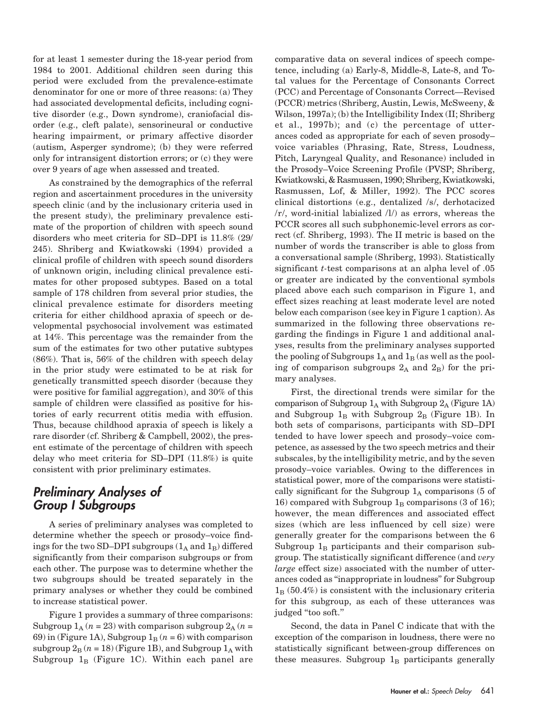for at least 1 semester during the 18-year period from 1984 to 2001. Additional children seen during this period were excluded from the prevalence-estimate denominator for one or more of three reasons: (a) They had associated developmental deficits, including cognitive disorder (e.g., Down syndrome), craniofacial disorder (e.g., cleft palate), sensorineural or conductive hearing impairment, or primary affective disorder (autism, Asperger syndrome); (b) they were referred only for intransigent distortion errors; or (c) they were over 9 years of age when assessed and treated.

As constrained by the demographics of the referral region and ascertainment procedures in the university speech clinic (and by the inclusionary criteria used in the present study), the preliminary prevalence estimate of the proportion of children with speech sound disorders who meet criteria for SD–DPI is 11.8% (29/ 245). Shriberg and Kwiatkowski (1994) provided a clinical profile of children with speech sound disorders of unknown origin, including clinical prevalence estimates for other proposed subtypes. Based on a total sample of 178 children from several prior studies, the clinical prevalence estimate for disorders meeting criteria for either childhood apraxia of speech or developmental psychosocial involvement was estimated at 14%. This percentage was the remainder from the sum of the estimates for two other putative subtypes (86%). That is, 56% of the children with speech delay in the prior study were estimated to be at risk for genetically transmitted speech disorder (because they were positive for familial aggregation), and 30% of this sample of children were classified as positive for histories of early recurrent otitis media with effusion. Thus, because childhood apraxia of speech is likely a rare disorder (cf. Shriberg & Campbell, 2002), the present estimate of the percentage of children with speech delay who meet criteria for SD–DPI (11.8%) is quite consistent with prior preliminary estimates.

## Preliminary Analyses of Group I Subgroups

A series of preliminary analyses was completed to determine whether the speech or prosody–voice findings for the two SD–DPI subgroups  $(1_A \text{ and } 1_B)$  differed significantly from their comparison subgroups or from each other. The purpose was to determine whether the two subgroups should be treated separately in the primary analyses or whether they could be combined to increase statistical power.

Figure 1 provides a summary of three comparisons: Subgroup  $1_A$  (n = 23) with comparison subgroup  $2_A$  (n = 69) in (Figure 1A), Subgroup  $1_B (n = 6)$  with comparison subgroup  $2_B (n = 18)$  (Figure 1B), and Subgroup  $1_A$  with Subgroup  $1_B$  (Figure 1C). Within each panel are

comparative data on several indices of speech competence, including (a) Early-8, Middle-8, Late-8, and Total values for the Percentage of Consonants Correct (PCC) and Percentage of Consonants Correct—Revised (PCCR) metrics (Shriberg, Austin, Lewis, McSweeny, & Wilson, 1997a); (b) the Intelligibility Index (II; Shriberg et al., 1997b); and (c) the percentage of utterances coded as appropriate for each of seven prosody– voice variables (Phrasing, Rate, Stress, Loudness, Pitch, Laryngeal Quality, and Resonance) included in the Prosody–Voice Screening Profile (PVSP; Shriberg, Kwiatkowski, & Rasmussen, 1990; Shriberg, Kwiatkowski, Rasmussen, Lof, & Miller, 1992). The PCC scores clinical distortions (e.g., dentalized /s/, derhotacized /r/, word-initial labialized /l/) as errors, whereas the PCCR scores all such subphonemic-level errors as correct (cf. Shriberg, 1993). The II metric is based on the number of words the transcriber is able to gloss from a conversational sample (Shriberg, 1993). Statistically significant t-test comparisons at an alpha level of .05 or greater are indicated by the conventional symbols placed above each such comparison in Figure 1, and effect sizes reaching at least moderate level are noted below each comparison (see key in Figure 1 caption). As summarized in the following three observations regarding the findings in Figure 1 and additional analyses, results from the preliminary analyses supported the pooling of Subgroups  $1_A$  and  $1_B$  (as well as the pooling of comparison subgroups  $2_A$  and  $2_B$ ) for the primary analyses.

First, the directional trends were similar for the comparison of Subgroup  $1_A$  with Subgroup  $2_A$  (Figure 1A) and Subgroup  $1_B$  with Subgroup  $2_B$  (Figure 1B). In both sets of comparisons, participants with SD–DPI tended to have lower speech and prosody–voice competence, as assessed by the two speech metrics and their subscales, by the intelligibility metric, and by the seven prosody–voice variables. Owing to the differences in statistical power, more of the comparisons were statistically significant for the Subgroup  $1_A$  comparisons (5 of 16) compared with Subgroup  $1_B$  comparisons (3 of 16); however, the mean differences and associated effect sizes (which are less influenced by cell size) were generally greater for the comparisons between the 6 Subgroup  $1_B$  participants and their comparison subgroup. The statistically significant difference (and very large effect size) associated with the number of utterances coded as ''inappropriate in loudness'' for Subgroup  $1<sub>B</sub>$  (50.4%) is consistent with the inclusionary criteria for this subgroup, as each of these utterances was judged ''too soft.''

Second, the data in Panel C indicate that with the exception of the comparison in loudness, there were no statistically significant between-group differences on these measures. Subgroup  $1_B$  participants generally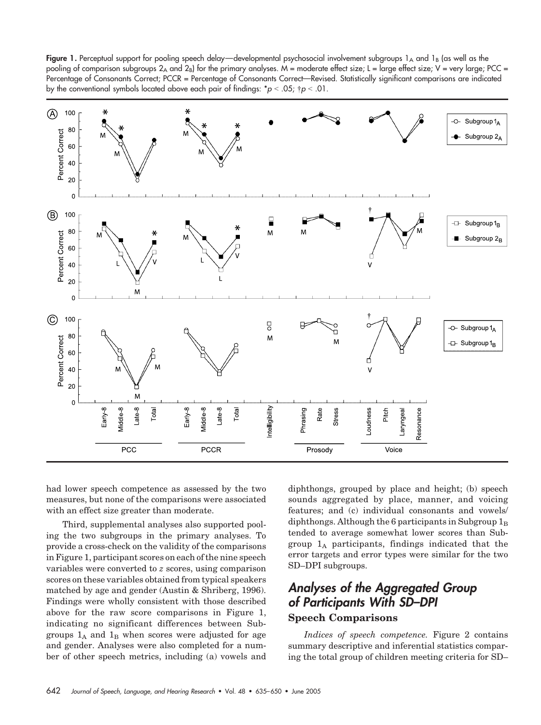Figure 1. Perceptual support for pooling speech delay—developmental psychosocial involvement subgroups  $1_A$  and  $1_B$  (as well as the pooling of comparison subgroups  $2_A$  and  $2_B$ ) for the primary analyses. M = moderate effect size; L = large effect size; V = very large; PCC = Percentage of Consonants Correct; PCCR = Percentage of Consonants Correct—Revised. Statistically significant comparisons are indicated by the conventional symbols located above each pair of findings:  $p < .05$ ;  $p < .01$ .



had lower speech competence as assessed by the two measures, but none of the comparisons were associated with an effect size greater than moderate.

Third, supplemental analyses also supported pooling the two subgroups in the primary analyses. To provide a cross-check on the validity of the comparisons in Figure 1, participant scores on each of the nine speech variables were converted to z scores, using comparison scores on these variables obtained from typical speakers matched by age and gender (Austin & Shriberg, 1996). Findings were wholly consistent with those described above for the raw score comparisons in Figure 1, indicating no significant differences between Subgroups  $1_A$  and  $1_B$  when scores were adjusted for age and gender. Analyses were also completed for a number of other speech metrics, including (a) vowels and

diphthongs, grouped by place and height; (b) speech sounds aggregated by place, manner, and voicing features; and (c) individual consonants and vowels/ diphthongs. Although the 6 participants in Subgroup  $1_B$ tended to average somewhat lower scores than Subgroup  $1_A$  participants, findings indicated that the error targets and error types were similar for the two SD–DPI subgroups.

## Analyses of the Aggregated Group of Participants With SD–DPI Speech Comparisons

Indices of speech competence. Figure 2 contains summary descriptive and inferential statistics comparing the total group of children meeting criteria for SD–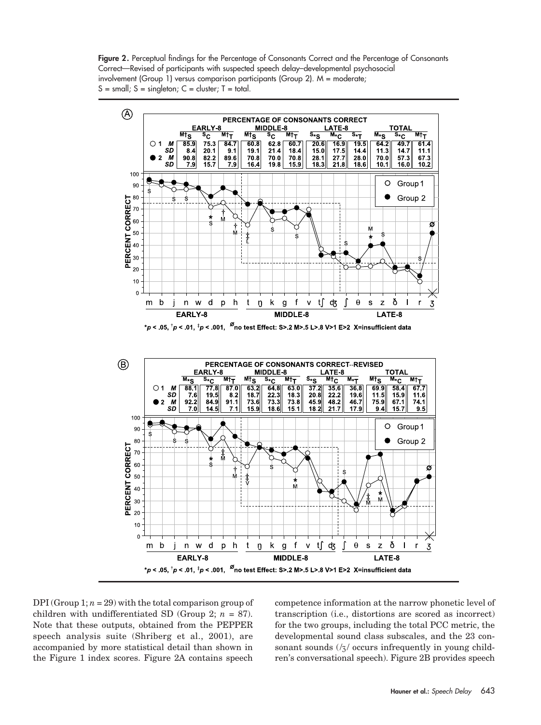Figure 2. Perceptual findings for the Percentage of Consonants Correct and the Percentage of Consonants Correct—Revised of participants with suspected speech delay–developmental psychosocial involvement (Group 1) versus comparison participants (Group 2). M = moderate;  $S = \text{small}$ ;  $S = \text{singleton}$ ;  $C = \text{cluster}$ ;  $T = \text{total}$ .



DPI (Group 1;  $n = 29$ ) with the total comparison group of children with undifferentiated SD (Group 2;  $n = 87$ ). Note that these outputs, obtained from the PEPPER speech analysis suite (Shriberg et al., 2001), are accompanied by more statistical detail than shown in the Figure 1 index scores. Figure 2A contains speech

competence information at the narrow phonetic level of transcription (i.e., distortions are scored as incorrect) for the two groups, including the total PCC metric, the developmental sound class subscales, and the 23 consonant sounds (/ $\frac{7}{2}$ / occurs infrequently in young children's conversational speech). Figure 2B provides speech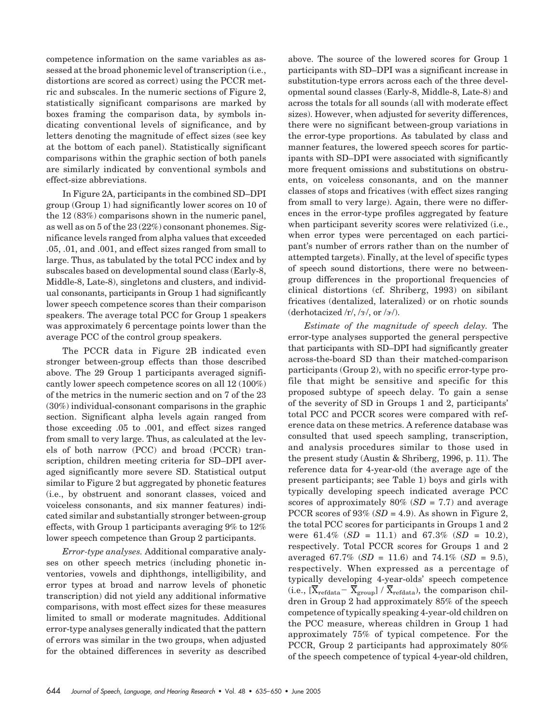competence information on the same variables as assessed at the broad phonemic level of transcription (i.e., distortions are scored as correct) using the PCCR metric and subscales. In the numeric sections of Figure 2, statistically significant comparisons are marked by boxes framing the comparison data, by symbols indicating conventional levels of significance, and by letters denoting the magnitude of effect sizes (see key at the bottom of each panel). Statistically significant comparisons within the graphic section of both panels are similarly indicated by conventional symbols and effect-size abbreviations.

In Figure 2A, participants in the combined SD–DPI group (Group 1) had significantly lower scores on 10 of the 12 (83%) comparisons shown in the numeric panel, as well as on 5 of the 23 (22%) consonant phonemes. Significance levels ranged from alpha values that exceeded .05, .01, and .001, and effect sizes ranged from small to large. Thus, as tabulated by the total PCC index and by subscales based on developmental sound class (Early-8, Middle-8, Late-8), singletons and clusters, and individual consonants, participants in Group 1 had significantly lower speech competence scores than their comparison speakers. The average total PCC for Group 1 speakers was approximately 6 percentage points lower than the average PCC of the control group speakers.

The PCCR data in Figure 2B indicated even stronger between-group effects than those described above. The 29 Group 1 participants averaged significantly lower speech competence scores on all 12 (100%) of the metrics in the numeric section and on 7 of the 23 (30%) individual-consonant comparisons in the graphic section. Significant alpha levels again ranged from those exceeding .05 to .001, and effect sizes ranged from small to very large. Thus, as calculated at the levels of both narrow (PCC) and broad (PCCR) transcription, children meeting criteria for SD–DPI averaged significantly more severe SD. Statistical output similar to Figure 2 but aggregated by phonetic features (i.e., by obstruent and sonorant classes, voiced and voiceless consonants, and six manner features) indicated similar and substantially stronger between-group effects, with Group 1 participants averaging 9% to 12% lower speech competence than Group 2 participants.

Error-type analyses. Additional comparative analyses on other speech metrics (including phonetic inventories, vowels and diphthongs, intelligibility, and error types at broad and narrow levels of phonetic transcription) did not yield any additional informative comparisons, with most effect sizes for these measures limited to small or moderate magnitudes. Additional error-type analyses generally indicated that the pattern of errors was similar in the two groups, when adjusted for the obtained differences in severity as described

above. The source of the lowered scores for Group 1 participants with SD–DPI was a significant increase in substitution-type errors across each of the three developmental sound classes (Early-8, Middle-8, Late-8) and across the totals for all sounds (all with moderate effect sizes). However, when adjusted for severity differences, there were no significant between-group variations in the error-type proportions. As tabulated by class and manner features, the lowered speech scores for participants with SD–DPI were associated with significantly more frequent omissions and substitutions on obstruents, on voiceless consonants, and on the manner classes of stops and fricatives (with effect sizes ranging from small to very large). Again, there were no differences in the error-type profiles aggregated by feature when participant severity scores were relativized (i.e., when error types were percentaged on each participant's number of errors rather than on the number of attempted targets). Finally, at the level of specific types of speech sound distortions, there were no betweengroup differences in the proportional frequencies of clinical distortions (cf. Shriberg, 1993) on sibilant fricatives (dentalized, lateralized) or on rhotic sounds (derhotacized  $\pi/$ ,  $\frac{3\pi}{2}$ , or  $\frac{\pi}{2}$ ).

Estimate of the magnitude of speech delay. The error-type analyses supported the general perspective that participants with SD–DPI had significantly greater across-the-board SD than their matched-comparison participants (Group 2), with no specific error-type profile that might be sensitive and specific for this proposed subtype of speech delay. To gain a sense of the severity of SD in Groups 1 and 2, participants' total PCC and PCCR scores were compared with reference data on these metrics. A reference database was consulted that used speech sampling, transcription, and analysis procedures similar to those used in the present study (Austin & Shriberg, 1996, p. 11). The reference data for 4-year-old (the average age of the present participants; see Table 1) boys and girls with typically developing speech indicated average PCC scores of approximately  $80\%$  (SD = 7.7) and average PCCR scores of 93%  $(SD = 4.9)$ . As shown in Figure 2, the total PCC scores for participants in Groups 1 and 2 were 61.4%  $(SD = 11.1)$  and 67.3%  $(SD = 10.2)$ , respectively. Total PCCR scores for Groups 1 and 2 averaged 67.7% ( $SD = 11.6$ ) and 74.1% ( $SD = 9.5$ ), respectively. When expressed as a percentage of typically developing 4-year-olds' speech competence (i.e.,  $[\overline{X}_{\text{refdata}} - \overline{X}_{\text{group}}] / \overline{X}_{\text{refdata}}$ ), the comparison children in Group 2 had approximately 85% of the speech competence of typically speaking 4-year-old children on the PCC measure, whereas children in Group 1 had approximately 75% of typical competence. For the PCCR, Group 2 participants had approximately 80% of the speech competence of typical 4-year-old children,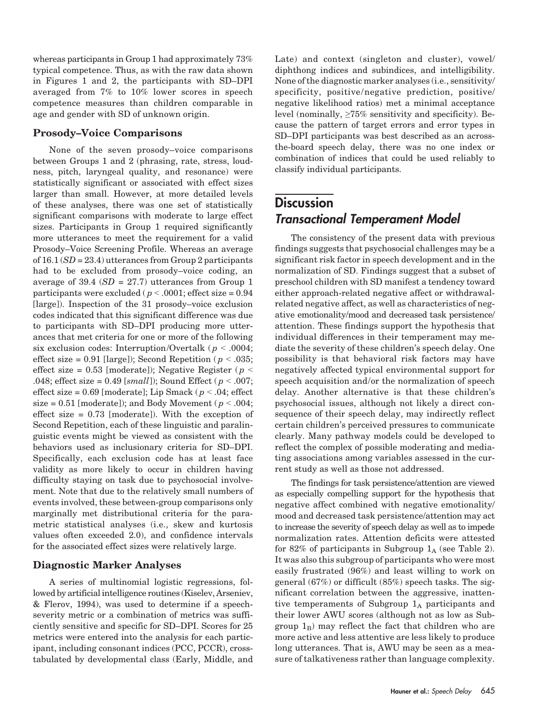whereas participants in Group 1 had approximately 73% typical competence. Thus, as with the raw data shown in Figures 1 and 2, the participants with SD–DPI averaged from 7% to 10% lower scores in speech competence measures than children comparable in age and gender with SD of unknown origin.

#### Prosody–Voice Comparisons

None of the seven prosody–voice comparisons between Groups 1 and 2 (phrasing, rate, stress, loudness, pitch, laryngeal quality, and resonance) were statistically significant or associated with effect sizes larger than small. However, at more detailed levels of these analyses, there was one set of statistically significant comparisons with moderate to large effect sizes. Participants in Group 1 required significantly more utterances to meet the requirement for a valid Prosody–Voice Screening Profile. Whereas an average of  $16.1 (SD = 23.4)$  utterances from Group 2 participants had to be excluded from prosody–voice coding, an average of 39.4  $(SD = 27.7)$  utterances from Group 1 participants were excluded ( $p < .0001$ ; effect size = 0.94 [large]). Inspection of the 31 prosody–voice exclusion codes indicated that this significant difference was due to participants with SD–DPI producing more utterances that met criteria for one or more of the following six exclusion codes: Interruption/Overtalk ( $p < .0004$ ; effect size = 0.91 [large]); Second Repetition ( $p < .035$ ; effect size = 0.53 [moderate]); Negative Register ( $p \leq$ .048; effect size = 0.49 [small]); Sound Effect ( $p < .007$ ; effect size =  $0.69$  [moderate]; Lip Smack ( $p < .04$ ; effect size = 0.51 [moderate]); and Body Movement ( $p < .004$ ; effect size  $= 0.73$  [moderate]). With the exception of Second Repetition, each of these linguistic and paralinguistic events might be viewed as consistent with the behaviors used as inclusionary criteria for SD–DPI. Specifically, each exclusion code has at least face validity as more likely to occur in children having difficulty staying on task due to psychosocial involvement. Note that due to the relatively small numbers of events involved, these between-group comparisons only marginally met distributional criteria for the parametric statistical analyses (i.e., skew and kurtosis values often exceeded 2.0), and confidence intervals for the associated effect sizes were relatively large.

#### Diagnostic Marker Analyses

A series of multinomial logistic regressions, followed by artificial intelligence routines (Kiselev, Arseniev, & Flerov, 1994), was used to determine if a speechseverity metric or a combination of metrics was sufficiently sensitive and specific for SD–DPI. Scores for 25 metrics were entered into the analysis for each participant, including consonant indices (PCC, PCCR), crosstabulated by developmental class (Early, Middle, and Late) and context (singleton and cluster), vowel/ diphthong indices and subindices, and intelligibility. None of the diagnostic marker analyses (i.e., sensitivity/ specificity, positive/negative prediction, positive/ negative likelihood ratios) met a minimal acceptance level (nominally,  $\geq 75\%$  sensitivity and specificity). Because the pattern of target errors and error types in SD–DPI participants was best described as an acrossthe-board speech delay, there was no one index or combination of indices that could be used reliably to classify individual participants.

# **Discussion** Transactional Temperament Model

The consistency of the present data with previous findings suggests that psychosocial challenges may be a significant risk factor in speech development and in the normalization of SD. Findings suggest that a subset of preschool children with SD manifest a tendency toward either approach-related negative affect or withdrawalrelated negative affect, as well as characteristics of negative emotionality/mood and decreased task persistence/ attention. These findings support the hypothesis that individual differences in their temperament may mediate the severity of these children's speech delay. One possibility is that behavioral risk factors may have negatively affected typical environmental support for speech acquisition and/or the normalization of speech delay. Another alternative is that these children's psychosocial issues, although not likely a direct consequence of their speech delay, may indirectly reflect certain children's perceived pressures to communicate clearly. Many pathway models could be developed to reflect the complex of possible moderating and mediating associations among variables assessed in the current study as well as those not addressed.

The findings for task persistence/attention are viewed as especially compelling support for the hypothesis that negative affect combined with negative emotionality/ mood and decreased task persistence/attention may act to increase the severity of speech delay as well as to impede normalization rates. Attention deficits were attested for 82% of participants in Subgroup  $1_A$  (see Table 2). It was also this subgroup of participants who were most easily frustrated (96%) and least willing to work on general (67%) or difficult (85%) speech tasks. The significant correlation between the aggressive, inattentive temperaments of Subgroup  $1_A$  participants and their lower AWU scores (although not as low as Subgroup  $1_B$ ) may reflect the fact that children who are more active and less attentive are less likely to produce long utterances. That is, AWU may be seen as a measure of talkativeness rather than language complexity.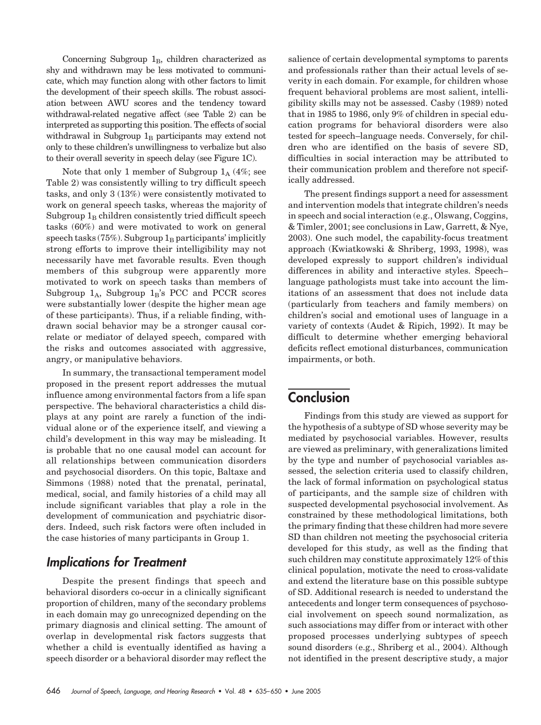Concerning Subgroup  $1_B$ , children characterized as shy and withdrawn may be less motivated to communicate, which may function along with other factors to limit the development of their speech skills. The robust association between AWU scores and the tendency toward withdrawal-related negative affect (see Table 2) can be interpreted as supporting this position. The effects of social withdrawal in Subgroup  $1_B$  participants may extend not only to these children's unwillingness to verbalize but also to their overall severity in speech delay (see Figure 1C).

Note that only 1 member of Subgroup  $1_A$  (4%; see Table 2) was consistently willing to try difficult speech tasks, and only 3 (13%) were consistently motivated to work on general speech tasks, whereas the majority of Subgroup  $1_B$  children consistently tried difficult speech tasks (60%) and were motivated to work on general speech tasks (75%). Subgroup  $1_B$  participants' implicitly strong efforts to improve their intelligibility may not necessarily have met favorable results. Even though members of this subgroup were apparently more motivated to work on speech tasks than members of Subgroup  $1_A$ , Subgroup  $1_B$ 's PCC and PCCR scores were substantially lower (despite the higher mean age of these participants). Thus, if a reliable finding, withdrawn social behavior may be a stronger causal correlate or mediator of delayed speech, compared with the risks and outcomes associated with aggressive, angry, or manipulative behaviors.

In summary, the transactional temperament model proposed in the present report addresses the mutual influence among environmental factors from a life span perspective. The behavioral characteristics a child displays at any point are rarely a function of the individual alone or of the experience itself, and viewing a child's development in this way may be misleading. It is probable that no one causal model can account for all relationships between communication disorders and psychosocial disorders. On this topic, Baltaxe and Simmons (1988) noted that the prenatal, perinatal, medical, social, and family histories of a child may all include significant variables that play a role in the development of communication and psychiatric disorders. Indeed, such risk factors were often included in the case histories of many participants in Group 1.

## Implications for Treatment

Despite the present findings that speech and behavioral disorders co-occur in a clinically significant proportion of children, many of the secondary problems in each domain may go unrecognized depending on the primary diagnosis and clinical setting. The amount of overlap in developmental risk factors suggests that whether a child is eventually identified as having a speech disorder or a behavioral disorder may reflect the

salience of certain developmental symptoms to parents and professionals rather than their actual levels of severity in each domain. For example, for children whose frequent behavioral problems are most salient, intelligibility skills may not be assessed. Casby (1989) noted that in 1985 to 1986, only 9% of children in special education programs for behavioral disorders were also tested for speech–language needs. Conversely, for children who are identified on the basis of severe SD, difficulties in social interaction may be attributed to their communication problem and therefore not specifically addressed.

The present findings support a need for assessment and intervention models that integrate children's needs in speech and social interaction (e.g., Olswang, Coggins, & Timler, 2001; see conclusions in Law, Garrett, & Nye, 2003). One such model, the capability-focus treatment approach (Kwiatkowski & Shriberg, 1993, 1998), was developed expressly to support children's individual differences in ability and interactive styles. Speech– language pathologists must take into account the limitations of an assessment that does not include data (particularly from teachers and family members) on children's social and emotional uses of language in a variety of contexts (Audet & Ripich, 1992). It may be difficult to determine whether emerging behavioral deficits reflect emotional disturbances, communication impairments, or both.

# **Conclusion**

Findings from this study are viewed as support for the hypothesis of a subtype of SD whose severity may be mediated by psychosocial variables. However, results are viewed as preliminary, with generalizations limited by the type and number of psychosocial variables assessed, the selection criteria used to classify children, the lack of formal information on psychological status of participants, and the sample size of children with suspected developmental psychosocial involvement. As constrained by these methodological limitations, both the primary finding that these children had more severe SD than children not meeting the psychosocial criteria developed for this study, as well as the finding that such children may constitute approximately 12% of this clinical population, motivate the need to cross-validate and extend the literature base on this possible subtype of SD. Additional research is needed to understand the antecedents and longer term consequences of psychosocial involvement on speech sound normalization, as such associations may differ from or interact with other proposed processes underlying subtypes of speech sound disorders (e.g., Shriberg et al., 2004). Although not identified in the present descriptive study, a major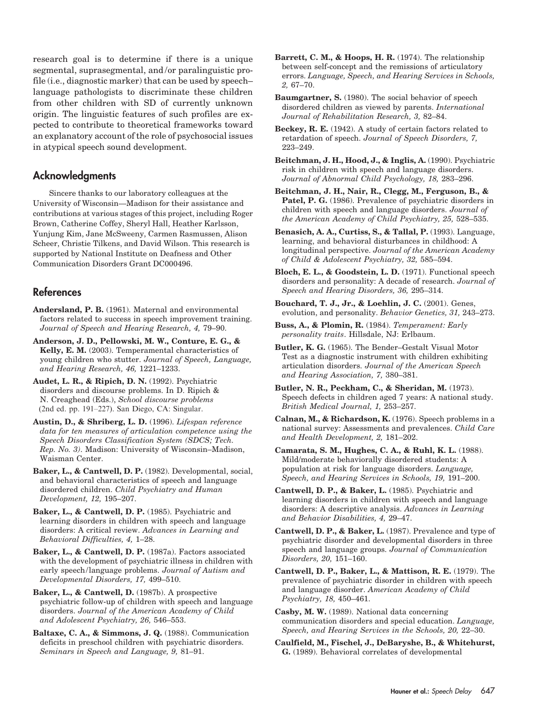research goal is to determine if there is a unique segmental, suprasegmental, and /or paralinguistic profile (i.e., diagnostic marker) that can be used by speech– language pathologists to discriminate these children from other children with SD of currently unknown origin. The linguistic features of such profiles are expected to contribute to theoretical frameworks toward an explanatory account of the role of psychosocial issues in atypical speech sound development.

#### Acknowledgments

Sincere thanks to our laboratory colleagues at the University of Wisconsin—Madison for their assistance and contributions at various stages of this project, including Roger Brown, Catherine Coffey, Sheryl Hall, Heather Karlsson, Yunjung Kim, Jane McSweeny, Carmen Rasmussen, Alison Scheer, Christie Tilkens, and David Wilson. This research is supported by National Institute on Deafness and Other Communication Disorders Grant DC000496.

#### References

- Andersland, P. B. (1961). Maternal and environmental factors related to success in speech improvement training. Journal of Speech and Hearing Research, 4, 79–90.
- Anderson, J. D., Pellowski, M. W., Conture, E. G., & Kelly, E. M. (2003). Temperamental characteristics of young children who stutter. Journal of Speech, Language, and Hearing Research, 46, 1221–1233.
- Audet, L. R., & Ripich, D. N. (1992). Psychiatric disorders and discourse problems. In D. Ripich & N. Creaghead (Eds.), School discourse problems (2nd ed. pp. 191–227). San Diego, CA: Singular.
- Austin, D., & Shriberg, L. D. (1996). Lifespan reference data for ten measures of articulation competence using the Speech Disorders Classification System (SDCS; Tech. Rep. No. 3). Madison: University of Wisconsin–Madison, Waisman Center.

Baker, L., & Cantwell, D. P. (1982). Developmental, social, and behavioral characteristics of speech and language disordered children. Child Psychiatry and Human Development, 12, 195–207.

Baker, L., & Cantwell, D. P. (1985). Psychiatric and learning disorders in children with speech and language disorders: A critical review. Advances in Learning and Behavioral Difficulties, 4, 1–28.

Baker, L., & Cantwell, D. P. (1987a). Factors associated with the development of psychiatric illness in children with early speech/language problems. Journal of Autism and Developmental Disorders, 17, 499–510.

Baker, L., & Cantwell, D. (1987b). A prospective psychiatric follow-up of children with speech and language disorders. Journal of the American Academy of Child and Adolescent Psychiatry, 26, 546–553.

Baltaxe, C. A., & Simmons, J. Q. (1988). Communication deficits in preschool children with psychiatric disorders. Seminars in Speech and Language, 9, 81–91.

- Barrett, C. M., & Hoops, H. R. (1974). The relationship between self-concept and the remissions of articulatory errors. Language, Speech, and Hearing Services in Schools, 2, 67–70.
- Baumgartner, S. (1980). The social behavior of speech disordered children as viewed by parents. International Journal of Rehabilitation Research, 3, 82–84.
- Beckey, R. E. (1942). A study of certain factors related to retardation of speech. Journal of Speech Disorders, 7, 223–249.
- Beitchman, J. H., Hood, J., & Inglis, A. (1990). Psychiatric risk in children with speech and language disorders. Journal of Abnormal Child Psychology, 18, 283–296.
- Beitchman, J. H., Nair, R., Clegg, M., Ferguson, B., & Patel, P. G. (1986). Prevalence of psychiatric disorders in children with speech and language disorders. Journal of the American Academy of Child Psychiatry, 25, 528–535.
- Benasich, A. A., Curtiss, S., & Tallal, P. (1993). Language, learning, and behavioral disturbances in childhood: A longitudinal perspective. Journal of the American Academy of Child & Adolescent Psychiatry, 32, 585–594.
- Bloch, E. L., & Goodstein, L. D. (1971). Functional speech disorders and personality: A decade of research. Journal of Speech and Hearing Disorders, 36, 295–314.
- Bouchard, T. J., Jr., & Loehlin, J. C. (2001). Genes, evolution, and personality. Behavior Genetics, 31, 243–273.
- Buss, A., & Plomin, R. (1984). Temperament: Early personality traits. Hillsdale, NJ: Erlbaum.
- Butler, K. G. (1965). The Bender–Gestalt Visual Motor Test as a diagnostic instrument with children exhibiting articulation disorders. Journal of the American Speech and Hearing Association, 7, 380–381.
- Butler, N. R., Peckham, C., & Sheridan, M. (1973). Speech defects in children aged 7 years: A national study. British Medical Journal, 1, 253–257.
- Calnan, M., & Richardson, K. (1976). Speech problems in a national survey: Assessments and prevalences. Child Care and Health Development, 2, 181–202.
- Camarata, S. M., Hughes, C. A., & Ruhl, K. L. (1988). Mild/moderate behaviorally disordered students: A population at risk for language disorders. Language, Speech, and Hearing Services in Schools, 19, 191–200.
- Cantwell, D. P., & Baker, L. (1985). Psychiatric and learning disorders in children with speech and language disorders: A descriptive analysis. Advances in Learning and Behavior Disabilities, 4, 29–47.
- Cantwell, D. P., & Baker, L. (1987). Prevalence and type of psychiatric disorder and developmental disorders in three speech and language groups. Journal of Communication Disorders, 20, 151–160.
- Cantwell, D. P., Baker, L., & Mattison, R. E. (1979). The prevalence of psychiatric disorder in children with speech and language disorder. American Academy of Child Psychiatry, 18, 450–461.
- Casby, M. W. (1989). National data concerning communication disorders and special education. Language, Speech, and Hearing Services in the Schools, 20, 22–30.
- Caulfield, M., Fischel, J., DeBaryshe, B., & Whitehurst, G. (1989). Behavioral correlates of developmental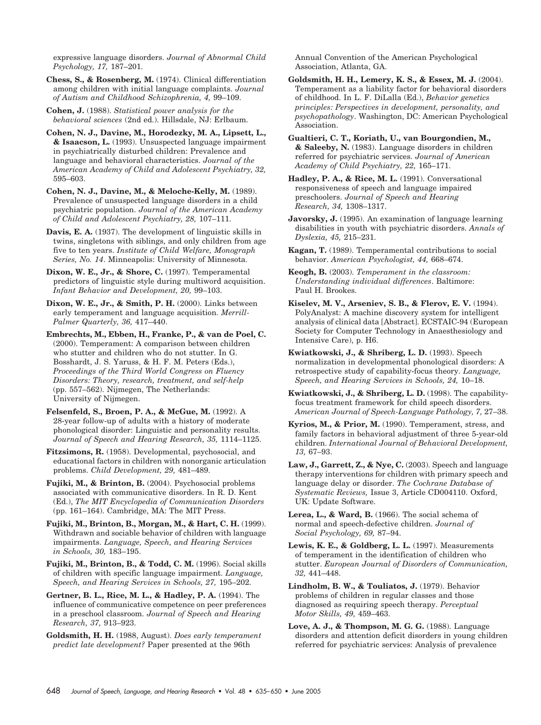expressive language disorders. Journal of Abnormal Child Psychology, 17, 187–201.

Chess, S., & Rosenberg, M. (1974). Clinical differentiation among children with initial language complaints. Journal of Autism and Childhood Schizophrenia, 4, 99–109.

Cohen, J. (1988). Statistical power analysis for the behavioral sciences (2nd ed.). Hillsdale, NJ: Erlbaum.

Cohen, N. J., Davine, M., Horodezky, M. A., Lipsett, L., & Isaacson, L. (1993). Unsuspected language impairment in psychiatrically disturbed children: Prevalence and language and behavioral characteristics. Journal of the American Academy of Child and Adolescent Psychiatry, 32, 595–603.

Cohen, N. J., Davine, M., & Meloche-Kelly, M. (1989). Prevalence of unsuspected language disorders in a child psychiatric population. Journal of the American Academy of Child and Adolescent Psychiatry, 28, 107–111.

Davis, E. A. (1937). The development of linguistic skills in twins, singletons with siblings, and only children from age five to ten years. Institute of Child Welfare, Monograph Series, No. 14. Minneapolis: University of Minnesota.

Dixon, W. E., Jr., & Shore, C. (1997). Temperamental predictors of linguistic style during multiword acquisition. Infant Behavior and Development, 20, 99–103.

Dixon, W. E., Jr., & Smith, P. H. (2000). Links between early temperament and language acquisition. Merrill-Palmer Quarterly, 36, 417–440.

Embrechts, M., Ebben, H., Franke, P., & van de Poel, C. (2000). Temperament: A comparison between children who stutter and children who do not stutter. In G. Bosshardt, J. S. Yaruss, & H. F. M. Peters (Eds.), Proceedings of the Third World Congress on Fluency Disorders: Theory, research, treatment, and self-help (pp. 557–562). Nijmegen, The Netherlands: University of Nijmegen.

Felsenfeld, S., Broen, P. A., & McGue, M. (1992). A 28-year follow-up of adults with a history of moderate phonological disorder: Linguistic and personality results. Journal of Speech and Hearing Research, 35, 1114–1125.

Fitzsimons, R. (1958). Developmental, psychosocial, and educational factors in children with nonorganic articulation problems. Child Development, 29, 481–489.

Fujiki, M., & Brinton, B. (2004). Psychosocial problems associated with communicative disorders. In R. D. Kent (Ed.), The MIT Encyclopedia of Communication Disorders (pp. 161–164). Cambridge, MA: The MIT Press.

Fujiki, M., Brinton, B., Morgan, M., & Hart, C. H. (1999). Withdrawn and sociable behavior of children with language impairments. Language, Speech, and Hearing Services in Schools, 30, 183–195.

Fujiki, M., Brinton, B., & Todd, C. M. (1996). Social skills of children with specific language impairment. Language, Speech, and Hearing Services in Schools, 27, 195–202.

Gertner, B. L., Rice, M. L., & Hadley, P. A. (1994). The influence of communicative competence on peer preferences in a preschool classroom. Journal of Speech and Hearing Research, 37, 913–923.

Goldsmith, H. H. (1988, August). Does early temperament predict late development? Paper presented at the 96th

Annual Convention of the American Psychological Association, Atlanta, GA.

Goldsmith, H. H., Lemery, K. S., & Essex, M. J. (2004). Temperament as a liability factor for behavioral disorders of childhood. In L. F. DiLalla (Ed.), Behavior genetics principles: Perspectives in development, personality, and psychopathology. Washington, DC: American Psychological Association.

Gualtieri, C. T., Koriath, U., van Bourgondien, M., & Saleeby, N. (1983). Language disorders in children referred for psychiatric services. Journal of American Academy of Child Psychiatry, 22, 165–171.

Hadley, P. A., & Rice, M. L. (1991). Conversational responsiveness of speech and language impaired preschoolers. Journal of Speech and Hearing Research, 34, 1308–1317.

Javorsky, J. (1995). An examination of language learning disabilities in youth with psychiatric disorders. Annals of Dyslexia, 45, 215–231.

Kagan, T. (1989). Temperamental contributions to social behavior. American Psychologist, 44, 668–674.

Keogh, B. (2003). Temperament in the classroom: Understanding individual differences. Baltimore: Paul H. Brookes.

Kiselev, M. V., Arseniev, S. B., & Flerov, E. V. (1994). PolyAnalyst: A machine discovery system for intelligent analysis of clinical data [Abstract]. ECSTAIC-94 (European Society for Computer Technology in Anaesthesiology and Intensive Care), p. H6.

Kwiatkowski, J., & Shriberg, L. D. (1993). Speech normalization in developmental phonological disorders: A retrospective study of capability-focus theory. Language, Speech, and Hearing Services in Schools, 24, 10–18.

Kwiatkowski, J., & Shriberg, L. D. (1998). The capabilityfocus treatment framework for child speech disorders. American Journal of Speech-Language Pathology, 7, 27–38.

Kyrios, M., & Prior, M. (1990). Temperament, stress, and family factors in behavioral adjustment of three 5-year-old children. International Journal of Behavioral Development, 13, 67–93.

Law, J., Garrett, Z., & Nye, C. (2003). Speech and language therapy interventions for children with primary speech and language delay or disorder. The Cochrane Database of Systematic Reviews, Issue 3, Article CD004110. Oxford, UK: Update Software.

Lerea, L., & Ward, B. (1966). The social schema of normal and speech-defective children. Journal of Social Psychology, 69, 87–94.

Lewis, K. E., & Goldberg, L. L. (1997). Measurements of temperament in the identification of children who stutter. European Journal of Disorders of Communication, 32, 441–448.

Lindholm, B. W., & Touliatos, J. (1979). Behavior problems of children in regular classes and those diagnosed as requiring speech therapy. Perceptual Motor Skills, 49, 459–463.

Love, A. J., & Thompson, M. G. G. (1988). Language disorders and attention deficit disorders in young children referred for psychiatric services: Analysis of prevalence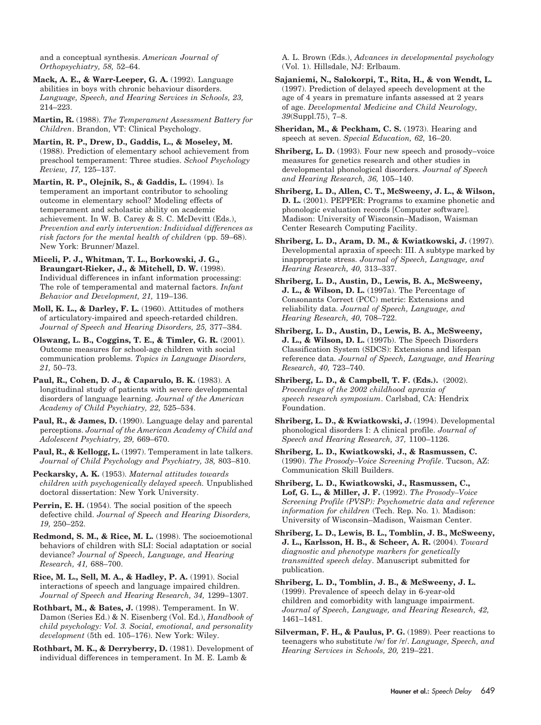and a conceptual synthesis. American Journal of Orthopsychiatry, 58, 52–64.

Mack, A. E., & Warr-Leeper, G. A. (1992). Language abilities in boys with chronic behaviour disorders. Language, Speech, and Hearing Services in Schools, 23, 214–223.

Martin, R. (1988). The Temperament Assessment Battery for Children. Brandon, VT: Clinical Psychology.

Martin, R. P., Drew, D., Gaddis, L., & Moseley, M. (1988). Prediction of elementary school achievement from preschool temperament: Three studies. School Psychology Review, 17, 125–137.

Martin, R. P., Olejnik, S., & Gaddis, L. (1994). Is temperament an important contributor to schooling outcome in elementary school? Modeling effects of temperament and scholastic ability on academic achievement. In W. B. Carey & S. C. McDevitt (Eds.), Prevention and early intervention: Individual differences as risk factors for the mental health of children (pp. 59–68). New York: Brunner/ Mazel.

Miceli, P. J., Whitman, T. L., Borkowski, J. G., Braungart-Rieker, J., & Mitchell, D. W. (1998). Individual differences in infant information processing: The role of temperamental and maternal factors. Infant Behavior and Development, 21, 119–136.

Moll, K. L., & Darley, F. L. (1960). Attitudes of mothers of articulatory-impaired and speech-retarded children. Journal of Speech and Hearing Disorders, 25, 377–384.

Olswang, L. B., Coggins, T. E., & Timler, G. R. (2001). Outcome measures for school-age children with social communication problems. Topics in Language Disorders, 21, 50–73.

Paul, R., Cohen, D. J., & Caparulo, B. K. (1983). A longitudinal study of patients with severe developmental disorders of language learning. Journal of the American Academy of Child Psychiatry, 22, 525–534.

Paul, R., & James, D. (1990). Language delay and parental perceptions. Journal of the American Academy of Child and Adolescent Psychiatry, 29, 669–670.

Paul, R., & Kellogg, L. (1997). Temperament in late talkers. Journal of Child Psychology and Psychiatry, 38, 803–810.

Peckarsky, A. K. (1953). Maternal attitudes towards children with psychogenically delayed speech. Unpublished doctoral dissertation: New York University.

Perrin, E. H. (1954). The social position of the speech defective child. Journal of Speech and Hearing Disorders, 19, 250–252.

Redmond, S. M., & Rice, M. L. (1998). The socioemotional behaviors of children with SLI: Social adaptation or social deviance? Journal of Speech, Language, and Hearing Research, 41, 688–700.

Rice, M. L., Sell, M. A., & Hadley, P. A. (1991). Social interactions of speech and language impaired children. Journal of Speech and Hearing Research, 34, 1299–1307.

Rothbart, M., & Bates, J. (1998). Temperament. In W. Damon (Series Ed.) & N. Eisenberg (Vol. Ed.), Handbook of child psychology: Vol. 3. Social, emotional, and personality development (5th ed. 105–176). New York: Wiley.

Rothbart, M. K., & Derryberry, D. (1981). Development of individual differences in temperament. In M. E. Lamb &

A. L. Brown (Eds.), Advances in developmental psychology (Vol. 1). Hillsdale, NJ: Erlbaum.

Sajaniemi, N., Salokorpi, T., Rita, H., & von Wendt, L. (1997). Prediction of delayed speech development at the age of 4 years in premature infants assessed at 2 years of age. Developmental Medicine and Child Neurology, 39(Suppl.75), 7–8.

Sheridan, M., & Peckham, C. S. (1973). Hearing and speech at seven. Special Education, 62, 16–20.

Shriberg, L. D. (1993). Four new speech and prosody–voice measures for genetics research and other studies in developmental phonological disorders. Journal of Speech and Hearing Research, 36, 105–140.

Shriberg, L. D., Allen, C. T., McSweeny, J. L., & Wilson, D. L. (2001). PEPPER: Programs to examine phonetic and phonologic evaluation records [Computer software]. Madison: University of Wisconsin–Madison, Waisman Center Research Computing Facility.

Shriberg, L. D., Aram, D. M., & Kwiatkowski, J. (1997). Developmental apraxia of speech: III. A subtype marked by inappropriate stress. Journal of Speech, Language, and Hearing Research, 40, 313–337.

Shriberg, L. D., Austin, D., Lewis, B. A., McSweeny, J. L., & Wilson, D. L. (1997a). The Percentage of Consonants Correct (PCC) metric: Extensions and reliability data. Journal of Speech, Language, and Hearing Research, 40, 708–722.

Shriberg, L. D., Austin, D., Lewis, B. A., McSweeny, J. L., & Wilson, D. L. (1997b). The Speech Disorders Classification System (SDCS): Extensions and lifespan reference data. Journal of Speech, Language, and Hearing Research, 40, 723–740.

Shriberg, L. D., & Campbell, T. F. (Eds.). (2002). Proceedings of the 2002 childhood apraxia of speech research symposium. Carlsbad, CA: Hendrix Foundation.

Shriberg, L. D., & Kwiatkowski, J. (1994). Developmental phonological disorders I: A clinical profile. Journal of Speech and Hearing Research, 37, 1100–1126.

Shriberg, L. D., Kwiatkowski, J., & Rasmussen, C. (1990). The Prosody–Voice Screening Profile. Tucson, AZ: Communication Skill Builders.

Shriberg, L. D., Kwiatkowski, J., Rasmussen, C., Lof, G. L., & Miller, J. F. (1992). The Prosody–Voice Screening Profile (PVSP): Psychometric data and reference information for children (Tech. Rep. No. 1). Madison: University of Wisconsin–Madison, Waisman Center.

Shriberg, L. D., Lewis, B. L., Tomblin, J. B., McSweeny, J. L., Karlsson, H. B., & Scheer, A. R. (2004). Toward diagnostic and phenotype markers for genetically transmitted speech delay. Manuscript submitted for publication.

Shriberg, L. D., Tomblin, J. B., & McSweeny, J. L. (1999). Prevalence of speech delay in 6-year-old children and comorbidity with language impairment. Journal of Speech, Language, and Hearing Research, 42, 1461–1481.

Silverman, F. H., & Paulus, P. G. (1989). Peer reactions to teenagers who substitute /w/ for /r/. Language, Speech, and Hearing Services in Schools, 20, 219–221.